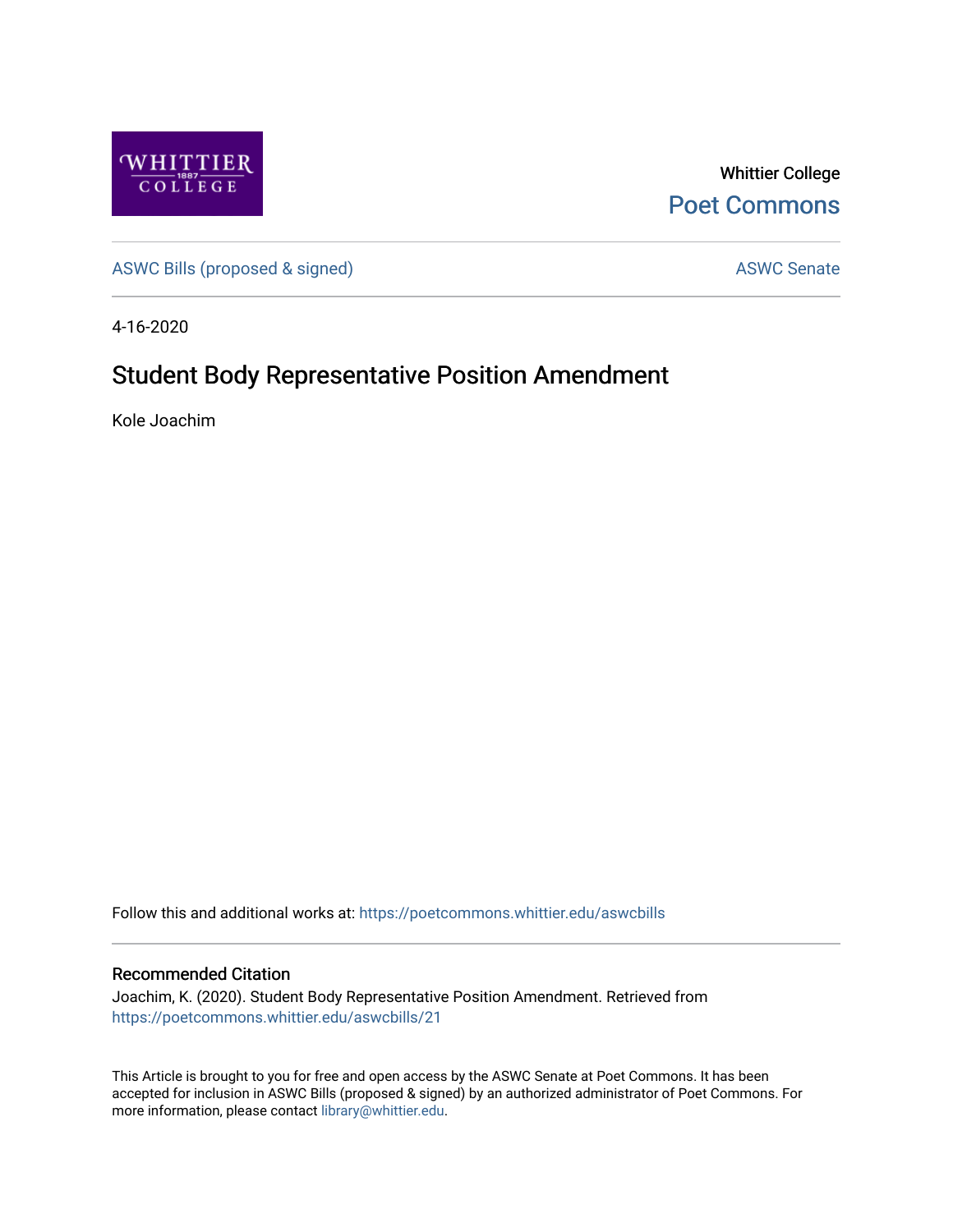

Whittier College [Poet Commons](https://poetcommons.whittier.edu/) 

[ASWC Bills \(proposed & signed\)](https://poetcommons.whittier.edu/aswcbills) ASWC Senate

4-16-2020

## Student Body Representative Position Amendment

Kole Joachim

Follow this and additional works at: [https://poetcommons.whittier.edu/aswcbills](https://poetcommons.whittier.edu/aswcbills?utm_source=poetcommons.whittier.edu%2Faswcbills%2F21&utm_medium=PDF&utm_campaign=PDFCoverPages) 

## Recommended Citation

Joachim, K. (2020). Student Body Representative Position Amendment. Retrieved from [https://poetcommons.whittier.edu/aswcbills/21](https://poetcommons.whittier.edu/aswcbills/21?utm_source=poetcommons.whittier.edu%2Faswcbills%2F21&utm_medium=PDF&utm_campaign=PDFCoverPages)

This Article is brought to you for free and open access by the ASWC Senate at Poet Commons. It has been accepted for inclusion in ASWC Bills (proposed & signed) by an authorized administrator of Poet Commons. For more information, please contact [library@whittier.edu.](mailto:library@whittier.edu)